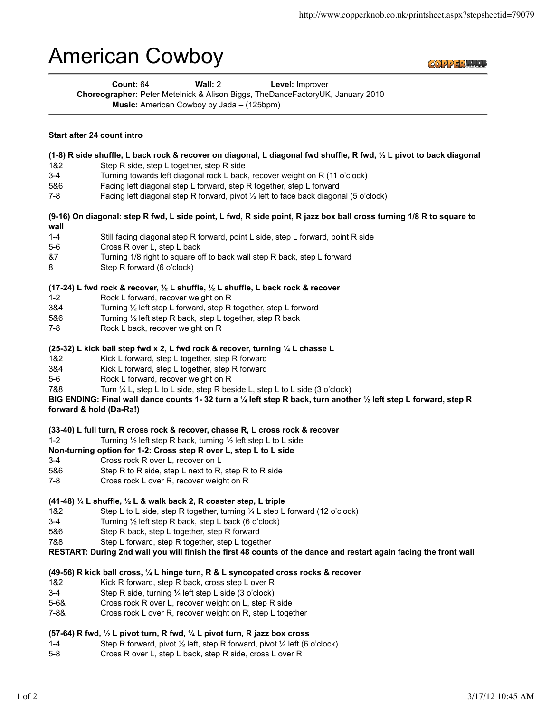# American Cowboy



| Count: $64$                                                                    | Wall: $2 \overline{ }$                             | Level: Improver |  |
|--------------------------------------------------------------------------------|----------------------------------------------------|-----------------|--|
| Choreographer: Peter Metelnick & Alison Biggs, TheDanceFactoryUK, January 2010 |                                                    |                 |  |
|                                                                                | <b>Music:</b> American Cowboy by Jada $-$ (125bpm) |                 |  |

#### **Start after 24 count intro**

- **(1-8) R side shuffle, L back rock & recover on diagonal, L diagonal fwd shuffle, R fwd, ½ L pivot to back diagonal**
- 1&2 Step R side, step L together, step R side
- 3-4 Turning towards left diagonal rock L back, recover weight on R (11 o'clock)
- 5&6 Facing left diagonal step L forward, step R together, step L forward
- 7-8 Facing left diagonal step R forward, pivot ½ left to face back diagonal (5 o'clock)

**(9-16) On diagonal: step R fwd, L side point, L fwd, R side point, R jazz box ball cross turning 1/8 R to square to wall**

- 1-4 Still facing diagonal step R forward, point L side, step L forward, point R side
- 5-6 Cross R over L, step L back
- &7 Turning 1/8 right to square off to back wall step R back, step L forward
- 8 Step R forward (6 o'clock)

#### **(17-24) L fwd rock & recover, ½ L shuffle, ½ L shuffle, L back rock & recover**

- 1-2 Rock L forward, recover weight on R
- 3&4 Turning ½ left step L forward, step R together, step L forward
- 5&6 Turning ½ left step R back, step L together, step R back
- 7-8 Rock L back, recover weight on R

### **(25-32) L kick ball step fwd x 2, L fwd rock & recover, turning ¼ L chasse L**

- 1&2 Kick L forward, step L together, step R forward
- 3&4 Kick L forward, step L together, step R forward
- 5-6 Rock L forward, recover weight on R
- 7&8 Turn ¼ L, step L to L side, step R beside L, step L to L side (3 o'clock)

## **BIG ENDING: Final wall dance counts 1- 32 turn a ¼ left step R back, turn another ½ left step L forward, step R forward & hold (Da-Ra!)**

#### **(33-40) L full turn, R cross rock & recover, chasse R, L cross rock & recover**

1-2 Turning ½ left step R back, turning ½ left step L to L side

## **Non-turning option for 1-2: Cross step R over L, step L to L side**

- 3-4 Cross rock R over L, recover on L
- 5&6 Step R to R side, step L next to R, step R to R side
- 7-8 Cross rock L over R, recover weight on R

## **(41-48) ¼ L shuffle, ½ L & walk back 2, R coaster step, L triple**

- 1&2 Step L to L side, step R together, turning ¼ L step L forward (12 o'clock)
- 3-4 Turning ½ left step R back, step L back (6 o'clock)
- 5&6 Step R back, step L together, step R forward
- 7&8 Step L forward, step R together, step L together
- **RESTART: During 2nd wall you will finish the first 48 counts of the dance and restart again facing the front wall**

## **(49-56) R kick ball cross, ¼ L hinge turn, R & L syncopated cross rocks & recover**

- 1&2 Kick R forward, step R back, cross step L over R
- 3-4 Step R side, turning ¼ left step L side (3 o'clock)
- 5-6& Cross rock R over L, recover weight on L, step R side
- 7-8& Cross rock L over R, recover weight on R, step L together

## **(57-64) R fwd, ½ L pivot turn, R fwd, ¼ L pivot turn, R jazz box cross**

- 1-4 Step R forward, pivot ½ left, step R forward, pivot ¼ left (6 o'clock)
- 5-8 Cross R over L, step L back, step R side, cross L over R